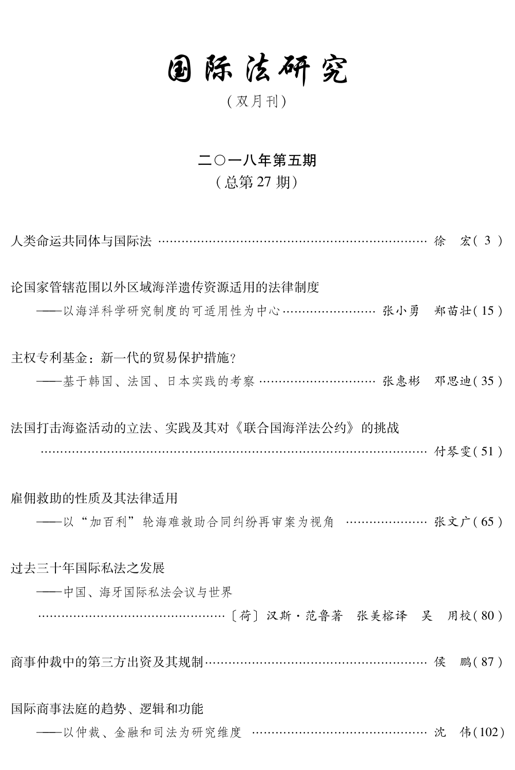## 固际法研究

(双月刊)

## 二〇一八年第五期

## (总第27期)

人类命运共同体与国际法 ………………………………………………………………… 徐 宏(3)

论国家管辖范围以外区域海洋溃传资源适用的法律制度 ——以海洋科学研究制度的可适用性为中心…………………… 张小勇 郑苗壮(15) 主权专利基金: 新一代的贸易保护措施? ----基于韩国、法国、日本实践的考察 ………………………… 张惠彬 邓思迪(35) 法国打击海盗活动的立法、实践及其对《联合国海洋法公约》的挑战 ……………………………………………………………………………… 付琴雯(51) 雇佣救助的性质及其法律适用 ----- 以"加百利"轮海难救助合同纠纷再审案为视角 ………………… 张文广(65) 讨夫三十年国际私法之发展 ——中国、海牙国际私法会议与世界 商事仲裁中的第三方出资及其规制 ………………………………………………… 侯 鹏(87) 国际商事法庭的趋势、逻辑和功能 ——以仲裁、金融和司法为研究维度 ………………………………………… 沈 伟(102)